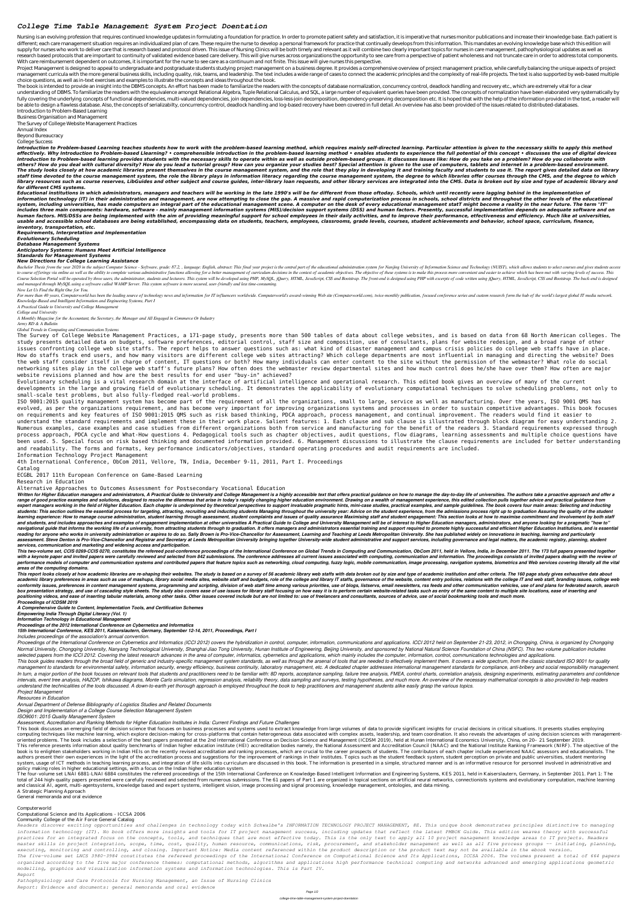# *College Time Table Management System Project Doentation*

Nursing is an evolving profession that requires continued knowledge updates in formulating a foundation for practice. In order to promote patient safety and satisfaction, it is imperative that nurses monitor publications a different; each care management situation requires an individualized plan of care. These require the nurse to develop a personal framework for practice that continually develops from this information. This mandates an evol supply for nurses who work to deliver care that is research based and protocol driven. This issue of Nursing Clinics will be both timely and relevant as it will combine two clearly important topics for nurses in care manag research based protocols that are important to continuity of validated evidence based care delivery. This will give nurses across organizations the opportunity to see care from a perspective of patient wholeness and not tr With care reimbursement dependent on outcomes, it is important for the nurse to see care as a continuum and not finite. This issue will give nurses this perspective.

Project Management is designed to appeal to undergraduate and postgraduate students studying project management on a business degree. It provides a comprehensive overview of project management practice, while carefully bal management curricula with the more general business skills, including quality, risk, teams, and leadership. The text includes a wide range of cases to connect the academic principles and the complexity of real-life project choice questions, as well as in-text exercises and examples to illustrate the concepts and ideas throughout the book.

The book is intended to provide an insight into the DBMS concepts. An effort has been made to familiarize the readers with the concepts of database normalization, concurrency control, deadlock handling and recovery etc., w understanding of DBMS. To familiarize the readers with the equivalence amongst Relational Algebra, Tuple Relational Calculus, and SQL, a large number of equivalent queries have been provided. The concepts of normalization fully covering the underlying concepts of functional dependencies, multi-valued dependencies, join dependencies, loss-less-join decomposition, dependency-preserving decomposition etc. It is hoped that with the help of the be able to design a flawless database. Also, the concepts of serializabilty, concurrency control, deadlock handling and log-based recovery have been covered in full detail. An overview has also been provided of the issues Introduction to Problem-Based Learning

Introduction to Problem-based Learning teaches students how to work with the problem-based learning method, which requires mainly self-directed learning. Particular attention is given to the necessary skills to apply this effectively. Why Introduction to Problem-based Llearning? • comprehensible introduction in the problem-based learning method • enables students to experience the full potential of this concept • discusses the use of digita Introduction to Problem-based learning provides students with the necessary skills to operate within as well as outside problem-based groups. It discusses issues like: How do you take on a problem? How do you collaborate w others? How do you deal with cultural diversity? How do you lead a tutorial group? How can you organize your studies best? Special attention is given to the use of computers, tablets and internet in a problem-based environ The study looks closely at how academic libraries present themselves in the course management system, and the role that they play in developing it and training faculty and students to use it. The report gives detailed data staff time devoted to the course management system, the role the library plays in information literacy regarding the course management system, the degree to which libraries offer courses through the CMS, and the degree to library resources such as course reserves, LibGuides and other subject and course guides, inter-library loan requests, and other library services are integrated into the CMS. Data is broken out by size and type of academic *for different CMS systems.*

Business Organisation and Management

Educational institutions in which administrators, managers and teachers will be working in the late 1990's will be far different from those oftoday. Schools, which until recently were lagging behind in the implementation o information technology (IT) in their administration and management, are now attempting to close the gap. A massive and rapid computerization process in schools, school districts and throughout the other levels of the educa system, including universities, has made computers an integral part of the educational management on the desk of every educational management statT might become a reality in the near future. The term "IT" includes three main components: hardware, software - mainly management information systems (MIS)/decision support systems (DSS) and human factors. Presently, successful implementation depends on adequate software and on human factors. MIS/DSSs are being implemented with the aim of providing meaningful support for school employees in their daily activities, and to improve their performance, etfectiveness and efficiency. Much like at univer usable and accessible school databases are being established, encompassing data on students, teachers, employees, classrooms, grade levels, courses, student achievements and behavior, school space, curriculum, finance, *inventory, transportation, etc.*

The Survey of College Website Management Practices

Annual Index

Beyond Bureaucracy

College Success

Bachelor Thesis from the year 2020 in the subject Computer Science - Software, grade: 87.2,, language: English, abstract: This final year project is the central part of the educational administration system for Nanjing Uni to course offerings via online as well as the ability to complete various administrative functions allowing for a better management of curriculum decisions in the context of academic objectives. The objective of these syst Course Selection Portal will be operated by three users, the administrator, students and lecturers. This system will be developed using PHP, MySQL, jQuery, HTML, JavaScript, CSS and Bootstrap. The front-end is designed usi *and managed through MySQL using a software called WAMP Server. This system software is more secured, user-friendly and less time-consuming.*

For more than 40 years, Computerworld has been the leading source of technology news and information for IT influencers worldwide. Computerworld's award-winning Web site (Computerworld.com), twice-monthly publication, focu *Knowledge-Based and Intelligent Information and Engineering Systems, Part I*

*Requirements, Interpretation and Implementation Evolutionary Scheduling Database Management Systems Anticipatory Systems: Humans Meet Artificial Intelligence Standards for Management Systems New Directions for College Learning Assistance*

Written for Higher Education managers and administrators, A Practical Guide to University and College Management is a highly accessible text that offers practical guidance on how to manage the day-to-day life of universiti range of good practice examples and solutions, designed to resolve the dilemmas that arise in today's rapidly changing higher education environment. Drawing on a wealth of management experience, this edited collection pull expert managers working in the field of Higher Education. Each chapter is underpinned by theoretical perspectives to support invaluable pragmatic hints, mini-case studies, practical examples, and sample guidelines. The boo students: This section outlines the essential process for targeting, attracting, recruiting and inducting students Managing throughout the university year: Advice on the student experience, from the admissions process righ learning experience: How to manage course administration, student learning through assessment, student complaints and issues of quality assurance Maximising staff and student engagement: This section looks at how to maximi and students, and includes approaches and examples of engagement implementation at other universities A Practical Guide to College and University Management will be of interest to Higher Education managers, administrators, navigational guide that informs the working life of a university, from attracting students through to graduation. It offers managers and administrators essential training and support required to promote highly successful a reading for anyone who works in university administration or aspires to do so. Sally Brown is Pro-Vice-Chancellor for Assessment, Learning and Teaching at Leeds Metropolitan University. She has published widely on innovati assessment. Steve Denton is Pro-Vice-Chancellor and Registrar and Secretary at Leeds Metropolitan University bringing together University-wide student administrative and support services, including governance and legal mat *services, communication and marketing and widening access and participation.*

This two-volume set, CCIS 0269-CCIS 0270, constitutes the refereed post-conference proceedings of the International Conference on Global Trends in Computing and Communication, ObCom 2011, held in Vellore, India, in Decembe with a keynote paper and invited papers were carefully reviewed and selected from 842 submissions. The conference addresses all current issues associated with computing, communication and information. The proceedings consi performance models of computer and communication systems and contributed papers that feature topics such as networking, cloud computing, fuzzy logic, mobile communication, image processing, navigation systems, biometrics a *areas of the computing domains.*

*Now Let Us Find the Right One for You.*

*A Practical Guide to University and College Management*

*College and University*

*A Monthly Magazine for the Accountant, the Secretary, the Manager and All Engaged in Commerce Or Industry*

This report looks closely at how academic libraries are re-shaping their websites. The study is based on a survey of 56 academic library web staffs with data broken out by size and type of academic institution and other cr academic library preferences in areas such as use of mashups, library social media sites, website staff and budgets, role of the college and library IT staffs, governance of the website, content entry policies, relations w conformity issues, preferences in content management systems, programming and scripting, division of web staff time among various priorities, use of blogs, listserys, email newsletters, rss feeds and other communication ve box presentation strategy, and use of cascading style sheets. The study also covers ease of use issues for library staff focusing on how easy it is to perform certain website-related tasks such as entry of the same content positioning videos, and ease of inserting tabular materials, among other tasks. Other issues covered include but are not limited to: use of freelancers and consultants, sources of advice, use of social bookmarking tools an *Proceedings of ICDSM 2019*

*Army RD & A Bulletin*

*Global Trends in Computing and Communication Systems*

The Survey of College Website Management Practices, a 171-page study, presents more than 500 tables of data about college websites, and is based on data from 68 North American colleges. The study presents detailed data on budgets, software preferences, editorial control, staff size and composition, use of consultants, plans for website redesign, and a broad range of other issues confronting college web site staffs. The report helps to answer questions such as: what kind of disaster management and campus crisis policies do college web staffs have in place. How do staffs track end users, and how many visitors are different college web sites attracting? Which college departments are most influential in managing and directing the website? Does the web staff consider itself in charge of content, IT questions or both? How many individuals can enter content to the site without the permission of the webmaster? What role do social networking sites play in the college web staff's future plans? How often does the webmaster review departmental sites and how much control does he/she have over them? How often are major website revisions planned and how are the best results for end user "buy-in" achieved? Evolutionary scheduling is a vital research domain at the interface of artificial intelligence and operational research. This edited book gives an overview of many of the current developments in the large and growing field of evolutionary scheduling. It demonstrates the applicability of evolutionary computational techniques to solve scheduling problems, not only to small-scale test problems, but also fully-fledged real-world problems. ISO 9001:2015 quality management system has become part of the requirement of all the organizations, small to large, service as well as manufacturing. Over the years, ISO 9001 QMS has evolved, as per the organizations requirement, and has become very important for improving organizations systems and processes in order to sustain competitive advantages. This book focuses on requirements and key features of ISO 9001:2015 QMS such as risk based thinking, PDCA approach, process management, and continual improvement. The readers would find it easier to understand the standard requirements and implement these in their work place. Salient features: 1. Each clause and sub clause is illustrated through block diagram for easy understanding 2. Numerous examples, case examples and case studies from different organizations both from service and manufacturing for the benefit of the readers 3. Standard requirements expressed through process approach, PDCA cycle and What-How questions 4. Pedagogical tools such as chapter objectives, audit questions, flow diagrams, learning assessments and multiple choice questions have been used. 5. Special focus on risk based thinking and documented information provided. 6. Management discussions to illustrate the clause requirements are included for better understanding and readability. The forms and formats, key performance indicators/objectives, standard operating procedures and audit requirements are included. Information Technology Project Management 4th International Conference, ObCom 2011, Vellore, TN, India, December 9-11, 2011, Part I. Proceedings Catalog

This book discusses an emerging field of decision science that focuses on business processes and systems used to extract knowledge from large volumes of data to provide significant insights for crucial decisions in critica computing techniques like machine learning, which explore decision-making for cross-platforms that contain heterogeneous data associated with complex assets, leadership, and team coordination. It also reveals the advantage oriented problems. The book includes a selection of the best papers presented at the 2nd International Conference on Decision Science and Management (ICDSM 2019), held at Hunan International Economics University, China, on This reference presents information about quality benchmarks of Indian higher education institute (HEI) accreditation bodies namely, the National Assessment and Accreditation Council (NAAC) and the National Institute Ranki book is to enlighten stakeholders working in Indian HEIs on the recently revised accreditation and ranking processes, which are crucial to the career prospects of students. The contributors of each chapter include experien authors present their own experiences in the light of the accreditation process and suggestions for the improvement of rankings in their institutes. Topics such as the student feedback system, student perception on private system, usage of ICT methods in teaching learning process, and integration of life skills into curriculum are discussed in this book. The information is presented in a simple, structured manner and is an informative resour policy making roles in higher educational settings, with a focus on the Indian higher education system.

The four-volume set LNAI 6881-LNAI 6884 constitutes the refereed proceedings of the 15th International Conference on Knowledge-Based Intelligent Information and Engineering Systems, KES 2011, held in Kaiserslautern, German total of 244 high-quality papers presented were carefully reviewed and selected from numerous submissions. The 61 papers of Part 1 are organized in topical sections on artificial neural networks, connectionists systems and and classical AI, agent, multi-agentsystems, knowledge based and expert systems, intelligent vision, image processing and signal processing, knowledge management, ontologies, and data mining.

ECGBL 2017 11th European Conference on Game-Based Learning

Research in Education

# Alternative Approaches to Outcomes Assessment for Postsecondary Vocational Education

*A Comprehensive Guide to Content, Implementation Tools, and Certification Schemes*

*Empowering India Through Digital Literacy (Vol. 1)*

*Information Technology in Educational Management*

*Proceedings of the 2012 International Conference on Cybernetics and Informatics*

*15th International Conference, KES 2011, Kaiserslautern, Germany, September 12-14, 2011, Proceedings, Part I*

*Includes proceedings of the association's annual convention.*

Proceedings of the International Conference on Cybernetics and Informatics (ICCI 2012) covers the hybridization in control, computer, information, communications and applications. ICCI 2012 held on September 21-23, 2012, i Normal University, Chongqing University, Nanyang Technological University, Shanghai Jiao Tong University, Hunan Institute of Engineering, Beijing University, and sponsored by National Natural Science Foundation of China (N selected papers from the ICCI 2012. Covering the latest research advances in the area of computer, informatics, cybernetics and applications, which mainly includes the computer, information, control, communications technol

This book guides readers through the broad field of generic and industry-specific management system standards, as well as through the arsenal of tools that are needed to effectively implement them. It covers a wide spectru management to standards for environmental safety, information security, energy efficiency, business continuity, laboratory management, etc. A dedicated chapter addresses international management standards for compliance, a In turn, a major portion of the book focuses on relevant tools that students and practitioners need to be familiar with: 8D reports, acceptance sampling, failure tree analysis, FMEA, control charts, correlation analysis, d intervals, event tree analysis, HAZOP, Ishikawa diagrams, Monte Carlo simulation, regression analysis, reliability theory, data sampling and surveys, testing hypotheses, and much more. An overview of the necessary mathemat

*understand the technicalities of the tools discussed. A down-to-earth yet thorough approach is employed throughout the book to help practitioners and management students alike easily grasp the various topics.*

*Project Management*

*Resources in Education*

*Annual Department of Defense Bibliography of Logistics Studies and Related Documents*

*Design and Implementation of a College Course Selection Management System*

*ISO9001: 2015 Quality Management System*

# *Assessment, Accreditation and Ranking Methods for Higher Education Institutes in India: Current Findings and Future Challenges*

A Strategic Planning Approach

General memoranda and oral evidence

### Computerworld

Computational Science and Its Applications - ICCSA 2006

# Community College of the Air Force General Catalog

*Readers discover exciting opportunities and challenges in technology today with Schwalbe's INFORMATION TECHNOLOGY PROJECT MANAGEMENT, 8E. This unique book demonstrates principles distinctive to managing information technology (IT). No book offers more insights and tools for IT project management success, including updates that reflect the latest PMBOK Guide. This edition weaves theory with successful practices for an integrated focus on the concepts, tools, and techniques that are most effective today. This is the only text to apply all 10 project management knowledge areas to IT projects. Readers master skills in project integration, scope, time, cost, quality, human resource, communications, risk, procurement, and stakeholder management as well as all five process groups -- initiating, planning, executing, monitoring and controlling, and closing. Important Notice: Media content referenced within the product description or the product text may not be available in the ebook version. The five-volume set LNCS 3980-3984 constitutes the refereed proceedings of the International Conference on Computational Science and Its Applications, ICCSA 2006. The volumes present a total of 664 papers organized according to the five major conference themes: computational methods, algorithms and applications high performance technical computing and networks advanced and emerging applications geometric modelling, graphics and visualization information systems and information technologies. This is Part IV.*

#### *Report*

*Pathophysiology and Care Protocols for Nursing Management, an Issue of Nursing Clinics Report: Evidence and documents: general memoranda and oral evidence*